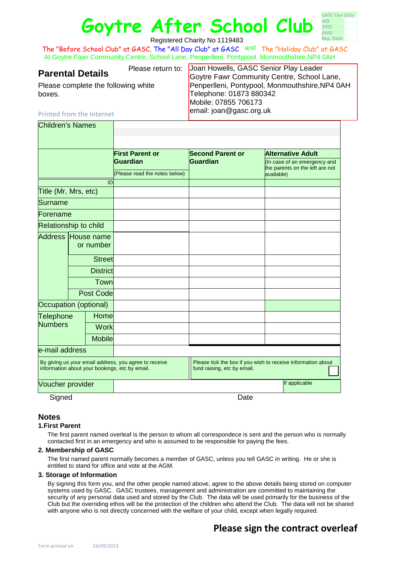# **Goytre After School Club**

| <b>GASC Use Only</b>             |  |
|----------------------------------|--|
| AID.                             |  |
|                                  |  |
|                                  |  |
|                                  |  |
| 2PID<br><b>AAID</b><br>Reg. Date |  |

Registered Charity No 1119483

The "Before School Club" at GASC, The "All Day Club" at GASC and The "Holiday Club" at GASC At Goytre Fawr Community Centre, School Lane, Penperlleni, Pontypool, Monmouthshire,NP4 0AH

Please complete the following white

**Parental Details**<br>Govtre Fawr Community Centre, School (Govtre Fawr Community Centre, School) Goytre Fawr Community Centre, School Lane, Penperlleni, Pontypool, Monmouthshire,NP4 0AH Telephone: 01873 880342 Mobile: 07855 706173 email: joan@gasc.org.uk

#### Printed from the Internet

Children's Names

boxes.

|                                                                                                         |                  |                 | <b>First Parent or</b><br>Guardian | <b>Second Parent or</b><br><b>Guardian</b>                                                  | <b>Alternative Adult</b><br>(In case of an emergency and<br>the parents on the left are not |               |
|---------------------------------------------------------------------------------------------------------|------------------|-----------------|------------------------------------|---------------------------------------------------------------------------------------------|---------------------------------------------------------------------------------------------|---------------|
|                                                                                                         |                  |                 |                                    |                                                                                             |                                                                                             |               |
|                                                                                                         |                  |                 | (Please read the notes below)      |                                                                                             | available)                                                                                  |               |
| ID                                                                                                      |                  |                 |                                    |                                                                                             |                                                                                             |               |
| Title (Mr, Mrs, etc)                                                                                    |                  |                 |                                    |                                                                                             |                                                                                             |               |
| Surname                                                                                                 |                  |                 |                                    |                                                                                             |                                                                                             |               |
| Forename                                                                                                |                  |                 |                                    |                                                                                             |                                                                                             |               |
| <b>Relationship to child</b>                                                                            |                  |                 |                                    |                                                                                             |                                                                                             |               |
| Address House name                                                                                      |                  |                 |                                    |                                                                                             |                                                                                             |               |
|                                                                                                         | or number        |                 |                                    |                                                                                             |                                                                                             |               |
|                                                                                                         |                  | <b>Street</b>   |                                    |                                                                                             |                                                                                             |               |
|                                                                                                         |                  | <b>District</b> |                                    |                                                                                             |                                                                                             |               |
|                                                                                                         |                  | Town            |                                    |                                                                                             |                                                                                             |               |
|                                                                                                         | <b>Post Code</b> |                 |                                    |                                                                                             |                                                                                             |               |
| Occupation (optional)                                                                                   |                  |                 |                                    |                                                                                             |                                                                                             |               |
| <b>Telephone</b><br><b>Numbers</b>                                                                      |                  | Home            |                                    |                                                                                             |                                                                                             |               |
|                                                                                                         |                  | <b>Work</b>     |                                    |                                                                                             |                                                                                             |               |
|                                                                                                         |                  | <b>Mobile</b>   |                                    |                                                                                             |                                                                                             |               |
| e-mail address                                                                                          |                  |                 |                                    |                                                                                             |                                                                                             |               |
| By giving us your email address, you agree to receive<br>information about your bookings, etc by email. |                  |                 |                                    | Please tick the box if you wish to receive information about<br>fund raising, etc by email. |                                                                                             |               |
| Voucher provider                                                                                        |                  |                 |                                    |                                                                                             |                                                                                             | If applicable |
| Signed                                                                                                  |                  |                 | Date                               |                                                                                             |                                                                                             |               |

#### **Notes**

#### **1.First Parent**

The first parent named overleaf is the person to whom all correspondece is sent and the person who is normally contacted first in an emergency and who is assumed to be responsible for paying the fees.

#### **2. Membership of GASC**

The first named parent normally becomes a member of GASC, unless you tell GASC in writing. He or she is entitled to stand for office and vote at the AGM.

#### **3. Storage of Information**

By signing this form you, and the other people named above, agree to the above details being stored on computer systems used by GASC. GASC trustees, management and administration are committed to maintaining the security of any personal data used and stored by the Club. The data will be used primarily for the business of the Club but the overriding ethos will be the protection of the children who attend the Club. The data will not be shared with anyone who is not directly concerned with the welfare of your child, except when legally required.

### **Please sign the contract overleaf**